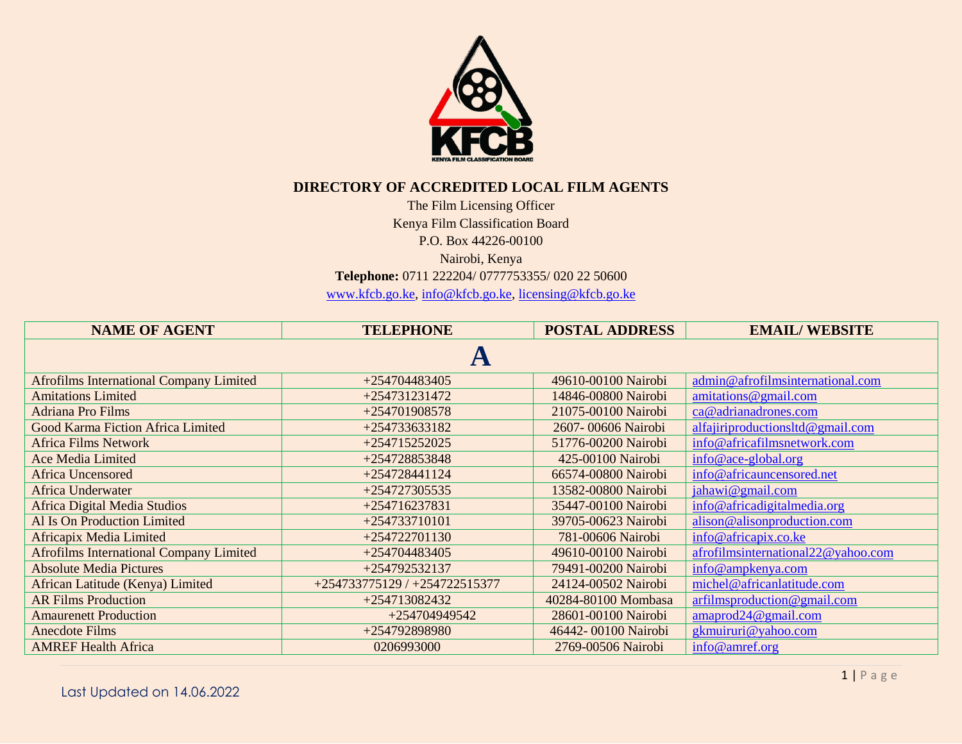

## **DIRECTORY OF ACCREDITED LOCAL FILM AGENTS**

The Film Licensing Officer Kenya Film Classification Board P.O. Box 44226-00100

Nairobi, Kenya

**Telephone:** 0711 222204/ 0777753355/ 020 22 50600

[www.kfcb.go.ke,](http://www.kfcb.go.ke/) [info@kfcb.go.ke,](mailto:info@kfcb.go.ke) [licensing@kfcb.go.ke](mailto:licensing@kfcb.go.ke)

| <b>NAME OF AGENT</b>                           | <b>TELEPHONE</b>              | <b>POSTAL ADDRESS</b> | <b>EMAIL/WEBSITE</b>                            |  |
|------------------------------------------------|-------------------------------|-----------------------|-------------------------------------------------|--|
|                                                |                               |                       |                                                 |  |
| <b>Afrofilms International Company Limited</b> | $+254704483405$               | 49610-00100 Nairobi   | admin@afrofilmsinternational.com                |  |
| <b>Amitations Limited</b>                      | +254731231472                 | 14846-00800 Nairobi   | amitations@gmail.com                            |  |
| <b>Adriana Pro Films</b>                       | +254701908578                 | 21075-00100 Nairobi   | ca@adrianadrones.com                            |  |
| Good Karma Fiction Africa Limited              | +254733633182                 | 2607-00606 Nairobi    | alfajiriproductionsltd@gmail.com                |  |
| <b>Africa Films Network</b>                    | +254715252025                 | 51776-00200 Nairobi   | info@africafilmsnetwork.com                     |  |
| <b>Ace Media Limited</b>                       | +254728853848                 | 425-00100 Nairobi     | info@ace-global.org                             |  |
| <b>Africa Uncensored</b>                       | $+254728441124$               | 66574-00800 Nairobi   | info@africauncensored.net                       |  |
| <b>Africa Underwater</b>                       | +254727305535                 | 13582-00800 Nairobi   | jahawi@gmail.com                                |  |
| Africa Digital Media Studios                   | $+254716237831$               | 35447-00100 Nairobi   | info@africadigitalmedia.org                     |  |
| Al Is On Production Limited                    | +254733710101                 | 39705-00623 Nairobi   | alison@alisonproduction.com                     |  |
| Africapix Media Limited                        | +254722701130                 | 781-00606 Nairobi     | info@africapix.co.ke                            |  |
| <b>Afrofilms International Company Limited</b> | +254704483405                 | 49610-00100 Nairobi   | afrofilmsinternational22@yahoo.com              |  |
| <b>Absolute Media Pictures</b>                 | +254792532137                 | 79491-00200 Nairobi   | info@ampkenya.com                               |  |
| African Latitude (Kenya) Limited               | +254733775129 / +254722515377 | 24124-00502 Nairobi   | michel@africanlatitude.com                      |  |
| <b>AR Films Production</b>                     | +254713082432                 | 40284-80100 Mombasa   | $\arfin\text{Imsproduction} @ \text{gmail.com}$ |  |
| <b>Amaurenett Production</b>                   | +254704949542                 | 28601-00100 Nairobi   | amaprod24@gmail.com                             |  |
| <b>Anecdote Films</b>                          | +254792898980                 | 46442-00100 Nairobi   | gkmuiruri@yahoo.com                             |  |
| <b>AMREF Health Africa</b>                     | 0206993000                    | 2769-00506 Nairobi    | info@amref.org                                  |  |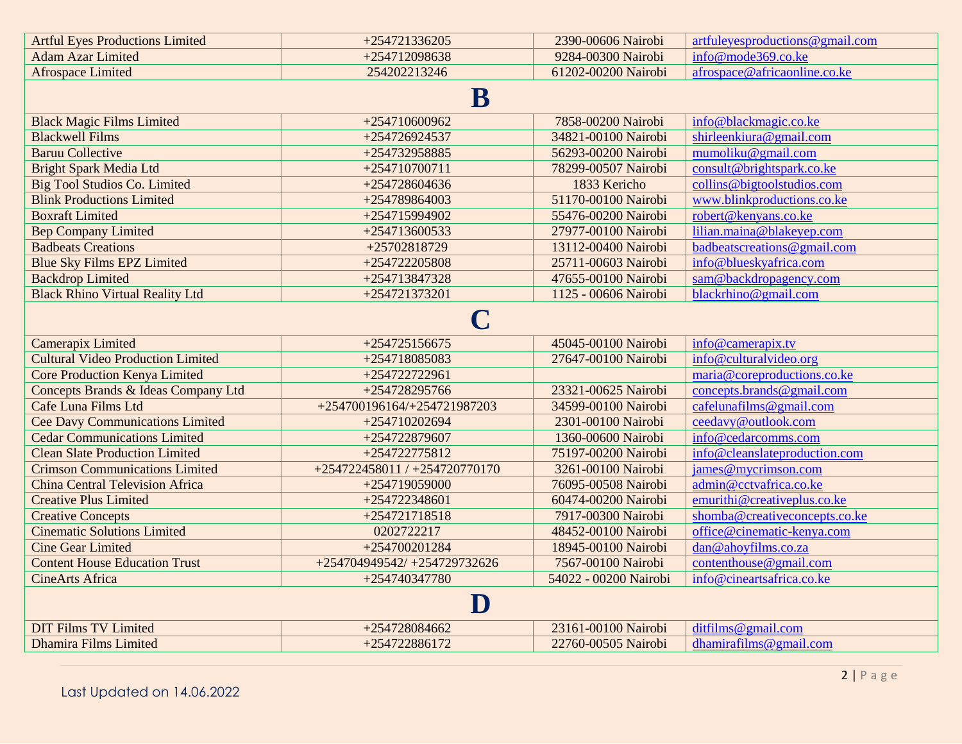| <b>Artful Eyes Productions Limited</b>   | +254721336205                 | 2390-00606 Nairobi    | artfuleyesproductions@gmail.com |  |
|------------------------------------------|-------------------------------|-----------------------|---------------------------------|--|
| <b>Adam Azar Limited</b>                 | +254712098638                 | 9284-00300 Nairobi    | info@mode369.co.ke              |  |
| <b>Afrospace Limited</b>                 | 254202213246                  | 61202-00200 Nairobi   | afrospace@africaonline.co.ke    |  |
|                                          |                               |                       |                                 |  |
|                                          | ${\bf B}$                     |                       |                                 |  |
| <b>Black Magic Films Limited</b>         | +254710600962                 | 7858-00200 Nairobi    | info@blackmagic.co.ke           |  |
| <b>Blackwell Films</b>                   | +254726924537                 | 34821-00100 Nairobi   | shirleenkiura@gmail.com         |  |
| <b>Baruu Collective</b>                  | +254732958885                 | 56293-00200 Nairobi   | mumoliku@gmail.com              |  |
| <b>Bright Spark Media Ltd</b>            | $+254710700711$               | 78299-00507 Nairobi   | consult@brightspark.co.ke       |  |
| <b>Big Tool Studios Co. Limited</b>      | +254728604636                 | 1833 Kericho          | collins@bigtoolstudios.com      |  |
| <b>Blink Productions Limited</b>         | +254789864003                 | 51170-00100 Nairobi   | www.blinkproductions.co.ke      |  |
| <b>Boxraft Limited</b>                   | +254715994902                 | 55476-00200 Nairobi   | robert@kenyans.co.ke            |  |
| <b>Bep Company Limited</b>               | +254713600533                 | 27977-00100 Nairobi   | lilian.maina@blakeyep.com       |  |
| <b>Badbeats Creations</b>                | +25702818729                  | 13112-00400 Nairobi   | badbeatscreations@gmail.com     |  |
| <b>Blue Sky Films EPZ Limited</b>        | +254722205808                 | 25711-00603 Nairobi   | info@blueskyafrica.com          |  |
| <b>Backdrop Limited</b>                  | +254713847328                 | 47655-00100 Nairobi   | sam@backdropagency.com          |  |
| <b>Black Rhino Virtual Reality Ltd</b>   | +254721373201                 | 1125 - 00606 Nairobi  | blackrhino@gmail.com            |  |
|                                          |                               |                       |                                 |  |
|                                          | C                             |                       |                                 |  |
| Camerapix Limited                        | +254725156675                 | 45045-00100 Nairobi   | info@camerapix.tv               |  |
| <b>Cultural Video Production Limited</b> | +254718085083                 | 27647-00100 Nairobi   | info@culturalvideo.org          |  |
| <b>Core Production Kenya Limited</b>     | +254722722961                 |                       | maria@coreproductions.co.ke     |  |
| Concepts Brands & Ideas Company Ltd      | +254728295766                 | 23321-00625 Nairobi   | concepts.brands@gmail.com       |  |
| Cafe Luna Films Ltd                      | +254700196164/+254721987203   | 34599-00100 Nairobi   | cafelunafilms@gmail.com         |  |
| <b>Cee Davy Communications Limited</b>   | +254710202694                 | 2301-00100 Nairobi    | ceedavy@outlook.com             |  |
| <b>Cedar Communications Limited</b>      | +254722879607                 | 1360-00600 Nairobi    | info@cedarcomms.com             |  |
| <b>Clean Slate Production Limited</b>    | +254722775812                 | 75197-00200 Nairobi   | info@cleanslateproduction.com   |  |
| <b>Crimson Communications Limited</b>    | +254722458011 / +254720770170 | 3261-00100 Nairobi    | james@mycrimson.com             |  |
| <b>China Central Television Africa</b>   | +254719059000                 | 76095-00508 Nairobi   | admin@cctvafrica.co.ke          |  |
| <b>Creative Plus Limited</b>             | +254722348601                 | 60474-00200 Nairobi   | emurithi@creativeplus.co.ke     |  |
| <b>Creative Concepts</b>                 | +254721718518                 | 7917-00300 Nairobi    | shomba@creativeconcepts.co.ke   |  |
| <b>Cinematic Solutions Limited</b>       | 0202722217                    | 48452-00100 Nairobi   | office@cinematic-kenya.com      |  |
| <b>Cine Gear Limited</b>                 | $+254700201284$               | 18945-00100 Nairobi   | dan@ahoyfilms.co.za             |  |
| <b>Content House Education Trust</b>     | +254704949542/+254729732626   | 7567-00100 Nairobi    | contenthouse@gmail.com          |  |
| <b>CineArts Africa</b>                   | +254740347780                 | 54022 - 00200 Nairobi | info@cineartsafrica.co.ke       |  |
|                                          |                               |                       |                                 |  |
| $\mathbf D$                              |                               |                       |                                 |  |
| <b>DIT Films TV Limited</b>              | +254728084662                 | 23161-00100 Nairobi   | ditfilms@gmail.com              |  |
| <b>Dhamira Films Limited</b>             | +254722886172                 | 22760-00505 Nairobi   | dhamirafilms@gmail.com          |  |
|                                          |                               |                       |                                 |  |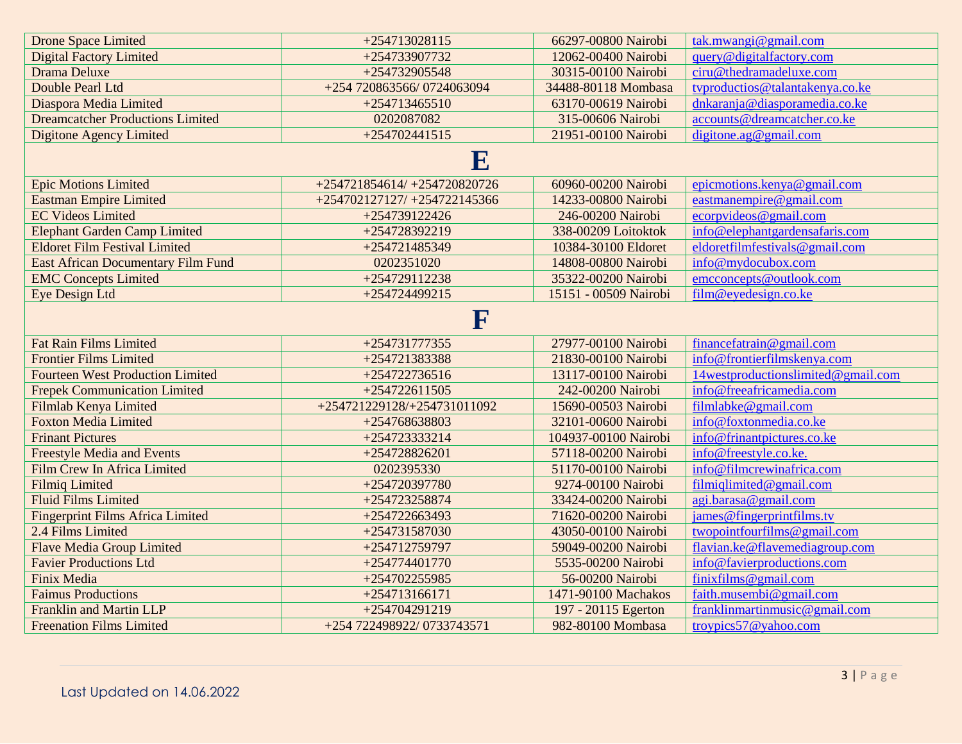| <b>Drone Space Limited</b>                | +254713028115                | 66297-00800 Nairobi   | tak.mwangi@gmail.com               |  |
|-------------------------------------------|------------------------------|-----------------------|------------------------------------|--|
| <b>Digital Factory Limited</b>            | +254733907732                | 12062-00400 Nairobi   | query@digitalfactory.com           |  |
| Drama Deluxe                              | +254732905548                | 30315-00100 Nairobi   | ciru@thedramadeluxe.com            |  |
| Double Pearl Ltd                          | +254 720863566/0724063094    | 34488-80118 Mombasa   | typroductios@talantakenya.co.ke    |  |
| Diaspora Media Limited                    | $+254713465510$              | 63170-00619 Nairobi   | dnkaranja@diasporamedia.co.ke      |  |
| <b>Dreamcatcher Productions Limited</b>   | 0202087082                   | 315-00606 Nairobi     | accounts@dreamcatcher.co.ke        |  |
| <b>Digitone Agency Limited</b>            | $+254702441515$              | 21951-00100 Nairobi   | digitione.ag@gmail.com             |  |
|                                           | ${\bf E}$                    |                       |                                    |  |
| <b>Epic Motions Limited</b>               | +254721854614/ +254720820726 | 60960-00200 Nairobi   | epicmotions.kenya@gmail.com        |  |
| <b>Eastman Empire Limited</b>             | +254702127127/ +254722145366 | 14233-00800 Nairobi   | eastmanempire@gmail.com            |  |
| <b>EC Videos Limited</b>                  | +254739122426                | 246-00200 Nairobi     | ecorpvideos@gmail.com              |  |
| <b>Elephant Garden Camp Limited</b>       | +254728392219                | 338-00209 Loitoktok   | info@elephantgardensafaris.com     |  |
| <b>Eldoret Film Festival Limited</b>      | +254721485349                | 10384-30100 Eldoret   | eldoretfilmfestivals@gmail.com     |  |
| <b>East African Documentary Film Fund</b> | 0202351020                   | 14808-00800 Nairobi   | info@mydocubox.com                 |  |
| <b>EMC Concepts Limited</b>               | +254729112238                | 35322-00200 Nairobi   | emcconcepts@outlook.com            |  |
| Eye Design Ltd                            | +254724499215                | 15151 - 00509 Nairobi | film@eyedesign.co.ke               |  |
|                                           | ${\bf F}$                    |                       |                                    |  |
| <b>Fat Rain Films Limited</b>             | +254731777355                | 27977-00100 Nairobi   | financefatrain@gmail.com           |  |
| <b>Frontier Films Limited</b>             | +254721383388                | 21830-00100 Nairobi   | info@frontierfilmskenya.com        |  |
| <b>Fourteen West Production Limited</b>   | +254722736516                | 13117-00100 Nairobi   | 14westproductionslimited@gmail.com |  |
| <b>Frepek Communication Limited</b>       | $+254722611505$              | 242-00200 Nairobi     | info@freeafricamedia.com           |  |
| Filmlab Kenya Limited                     | +254721229128/+254731011092  | 15690-00503 Nairobi   | filmlabke@gmail.com                |  |
| <b>Foxton Media Limited</b>               | +254768638803                | 32101-00600 Nairobi   | info@foxtonmedia.co.ke             |  |
| <b>Frinant Pictures</b>                   | +254723333214                | 104937-00100 Nairobi  | info@frinantpictures.co.ke         |  |
| <b>Freestyle Media and Events</b>         | +254728826201                | 57118-00200 Nairobi   | info@freestyle.co.ke.              |  |
| Film Crew In Africa Limited               | 0202395330                   | 51170-00100 Nairobi   | info@filmcrewinafrica.com          |  |
| <b>Filmiq Limited</b>                     | +254720397780                | 9274-00100 Nairobi    | filmiqlimited@gmail.com            |  |
| <b>Fluid Films Limited</b>                | +254723258874                | 33424-00200 Nairobi   | agi.barasa@gmail.com               |  |
| <b>Fingerprint Films Africa Limited</b>   | +254722663493                | 71620-00200 Nairobi   | james@fingerprintfilms.tv          |  |
| 2.4 Films Limited                         | +254731587030                | 43050-00100 Nairobi   | twopointfourfilms@gmail.com        |  |
| <b>Flave Media Group Limited</b>          | +254712759797                | 59049-00200 Nairobi   | flavian.ke@flavemediagroup.com     |  |
| <b>Favier Productions Ltd</b>             | +254774401770                | 5535-00200 Nairobi    | info@favierproductions.com         |  |
| Finix Media                               | +254702255985                | 56-00200 Nairobi      | finitfilms@gmail.com               |  |
| <b>Faimus Productions</b>                 | $+254713166171$              | 1471-90100 Machakos   | faith.musembi@gmail.com            |  |
| <b>Franklin and Martin LLP</b>            | +254704291219                | 197 - 20115 Egerton   | franklinmartinmusic@gmail.com      |  |
| <b>Freenation Films Limited</b>           | +254 722498922/0733743571    | 982-80100 Mombasa     | troypics $57@$ vahoo.com           |  |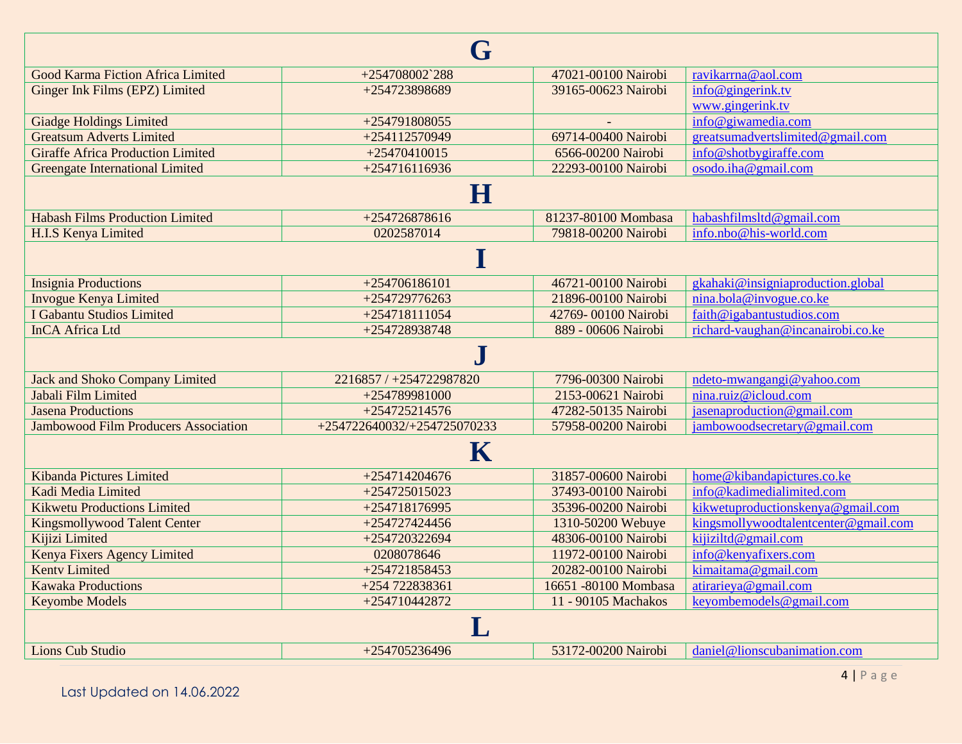| G                                           |                             |                      |                                      |  |
|---------------------------------------------|-----------------------------|----------------------|--------------------------------------|--|
| Good Karma Fiction Africa Limited           | $+254708002^{\circ}288$     | 47021-00100 Nairobi  | ravikarrna@aol.com                   |  |
| Ginger Ink Films (EPZ) Limited              | +254723898689               | 39165-00623 Nairobi  | info@gingerink.tv                    |  |
|                                             |                             |                      | www.gingerink.tv                     |  |
| <b>Giadge Holdings Limited</b>              | +254791808055               |                      | info@giwamedia.com                   |  |
| <b>Greatsum Adverts Limited</b>             | +254112570949               | 69714-00400 Nairobi  | greatsumadvertslimited@gmail.com     |  |
| <b>Giraffe Africa Production Limited</b>    | $+25470410015$              | 6566-00200 Nairobi   | info@shotbygiraffe.com               |  |
| <b>Greengate International Limited</b>      | $+254716116936$             | 22293-00100 Nairobi  | osodo.iha@gmail.com                  |  |
|                                             | $\bf H$                     |                      |                                      |  |
| <b>Habash Films Production Limited</b>      | +254726878616               | 81237-80100 Mombasa  | habashfilmsltd@gmail.com             |  |
| H.I.S Kenya Limited                         | 0202587014                  | 79818-00200 Nairobi  | info.nbo@his-world.com               |  |
|                                             |                             |                      |                                      |  |
| <b>Insignia Productions</b>                 | +254706186101               | 46721-00100 Nairobi  | gkahaki@insigniaproduction.global    |  |
| <b>Invogue Kenya Limited</b>                | +254729776263               | 21896-00100 Nairobi  | nina.bola@invogue.co.ke              |  |
| I Gabantu Studios Limited                   | +254718111054               | 42769-00100 Nairobi  | faith@igabantustudios.com            |  |
| <b>InCA Africa Ltd</b>                      | +254728938748               | 889 - 00606 Nairobi  | richard-vaughan@incanairobi.co.ke    |  |
|                                             | $\cdot$                     |                      |                                      |  |
| <b>Jack and Shoko Company Limited</b>       | 2216857 / +254722987820     | 7796-00300 Nairobi   | ndeto-mwangangi@yahoo.com            |  |
| Jabali Film Limited                         | +254789981000               | 2153-00621 Nairobi   | nina.ruiz@icloud.com                 |  |
| <b>Jasena Productions</b>                   | $+254725214576$             | 47282-50135 Nairobi  | jasenaproduction@gmail.com           |  |
| <b>Jambowood Film Producers Association</b> | +254722640032/+254725070233 | 57958-00200 Nairobi  | jambowoodsecretary@gmail.com         |  |
| $\mathbf K$                                 |                             |                      |                                      |  |
| Kibanda Pictures Limited                    | +254714204676               | 31857-00600 Nairobi  | home@kibandapictures.co.ke           |  |
| Kadi Media Limited                          | +254725015023               | 37493-00100 Nairobi  | info@kadimedialimited.com            |  |
| <b>Kikwetu Productions Limited</b>          | +254718176995               | 35396-00200 Nairobi  | kikwetuproductionskenya@gmail.com    |  |
| Kingsmollywood Talent Center                | +254727424456               | 1310-50200 Webuye    | kingsmollywoodtalentcenter@gmail.com |  |
| Kijizi Limited                              | +254720322694               | 48306-00100 Nairobi  | kijiziltd@gmail.com                  |  |
| Kenya Fixers Agency Limited                 | 0208078646                  | 11972-00100 Nairobi  | info@kenyafixers.com                 |  |
| <b>Kenty Limited</b>                        | +254721858453               | 20282-00100 Nairobi  | kimaitama@gmail.com                  |  |
| <b>Kawaka Productions</b>                   | +254 722838361              | 16651 -80100 Mombasa | atirarieya@gmail.com                 |  |
| <b>Keyombe Models</b>                       | +254710442872               | 11 - 90105 Machakos  | keyombemodels@gmail.com              |  |
|                                             |                             |                      |                                      |  |
| <b>Lions Cub Studio</b>                     | +254705236496               | 53172-00200 Nairobi  | daniel@lionscubanimation.com         |  |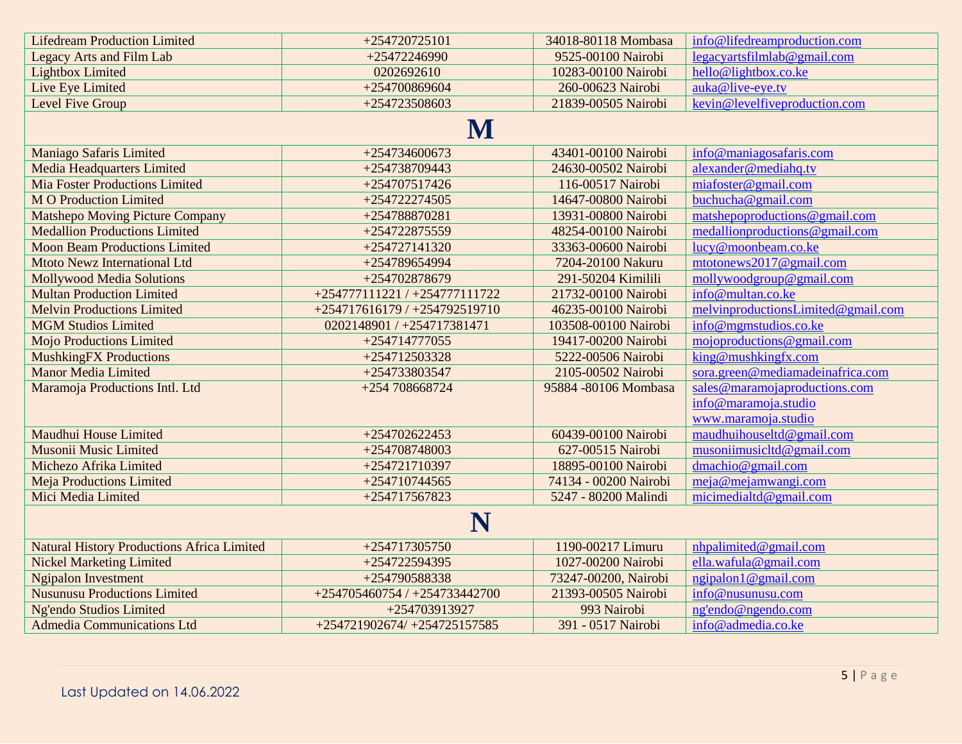| <b>Lifedream Production Limited</b>               | +254720725101                 | 34018-80118 Mombasa   | info@lifedreamproduction.com       |
|---------------------------------------------------|-------------------------------|-----------------------|------------------------------------|
| <b>Legacy Arts and Film Lab</b>                   | +25472246990                  | 9525-00100 Nairobi    | legacyartsfilmlab@gmail.com        |
| <b>Lightbox Limited</b>                           | 0202692610                    | 10283-00100 Nairobi   | hello@lightbox.co.ke               |
| Live Eye Limited                                  | +254700869604                 | 260-00623 Nairobi     | auka@live-eye.tv                   |
| Level Five Group                                  | +254723508603                 | 21839-00505 Nairobi   | kevin@levelfiveproduction.com      |
|                                                   | $\bf M$                       |                       |                                    |
| <b>Maniago Safaris Limited</b>                    | +254734600673                 | 43401-00100 Nairobi   | info@maniagosafaris.com            |
| <b>Media Headquarters Limited</b>                 | +254738709443                 | 24630-00502 Nairobi   | alexander@mediahq.tv               |
| <b>Mia Foster Productions Limited</b>             | +254707517426                 | 116-00517 Nairobi     | miafoster@gmail.com                |
| <b>MO</b> Production Limited                      | +254722274505                 | 14647-00800 Nairobi   | buchucha@gmail.com                 |
| <b>Matshepo Moving Picture Company</b>            | +254788870281                 | 13931-00800 Nairobi   | matshepoproductions@gmail.com      |
| <b>Medallion Productions Limited</b>              | +254722875559                 | 48254-00100 Nairobi   | medallionproductions@gmail.com     |
| <b>Moon Beam Productions Limited</b>              | +254727141320                 | 33363-00600 Nairobi   | lucy@moonbeam.co.ke                |
| <b>Mtoto Newz International Ltd</b>               | +254789654994                 | 7204-20100 Nakuru     | mtotonews2017@gmail.com            |
| <b>Mollywood Media Solutions</b>                  | +254702878679                 | 291-50204 Kimilili    | mollywoodgroup@gmail.com           |
| <b>Multan Production Limited</b>                  | +254777111221 / +254777111722 | 21732-00100 Nairobi   | info@multan.co.ke                  |
| <b>Melvin Productions Limited</b>                 | +254717616179 / +254792519710 | 46235-00100 Nairobi   | melvinproductionsLimited@gmail.com |
| <b>MGM Studios Limited</b>                        | 0202148901 / +254717381471    | 103508-00100 Nairobi  | info@mgmstudios.co.ke              |
| <b>Mojo Productions Limited</b>                   | +254714777055                 | 19417-00200 Nairobi   | moiproduction @ gmail.com          |
| <b>MushkingFX Productions</b>                     | +254712503328                 | 5222-00506 Nairobi    | king@mushkingfx.com                |
| <b>Manor Media Limited</b>                        | +254733803547                 | 2105-00502 Nairobi    | sora.green@mediamadeinafrica.com   |
| Maramoja Productions Intl. Ltd                    | +254 708668724                | 95884 -80106 Mombasa  | sales@maramojaproductions.com      |
|                                                   |                               |                       | info@maramoja.studio               |
|                                                   |                               |                       | www.maramoja.studio                |
| Maudhui House Limited                             | +254702622453                 | 60439-00100 Nairobi   | maudhuihouseltd@gmail.com          |
| Musonii Music Limited                             | +254708748003                 | 627-00515 Nairobi     | musoniimusichd@gmail.com           |
| Michezo Afrika Limited                            | +254721710397                 | 18895-00100 Nairobi   | $d$ machio@gmail.com               |
| <b>Meja Productions Limited</b>                   | +254710744565                 | 74134 - 00200 Nairobi | meja@mejamwangi.com                |
| Mici Media Limited                                | +254717567823                 | 5247 - 80200 Malindi  | micimedialtd@gmail.com             |
| N                                                 |                               |                       |                                    |
| <b>Natural History Productions Africa Limited</b> | +254717305750                 | 1190-00217 Limuru     | nhpalimited@gmail.com              |
| <b>Nickel Marketing Limited</b>                   | +254722594395                 | 1027-00200 Nairobi    | ella.wafula@gmail.com              |
| <b>Ngipalon Investment</b>                        | +254790588338                 | 73247-00200, Nairobi  | ngipalon1@gmail.com                |
| <b>Nusunusu Productions Limited</b>               | +254705460754 / +254733442700 | 21393-00505 Nairobi   | info@nusunusu.com                  |
| Ng'endo Studios Limited                           | +254703913927                 | 993 Nairobi           | ng'endo@ngendo.com                 |
| <b>Admedia Communications Ltd</b>                 | +254721902674/ +254725157585  | 391 - 0517 Nairobi    | info@admedia.co.ke                 |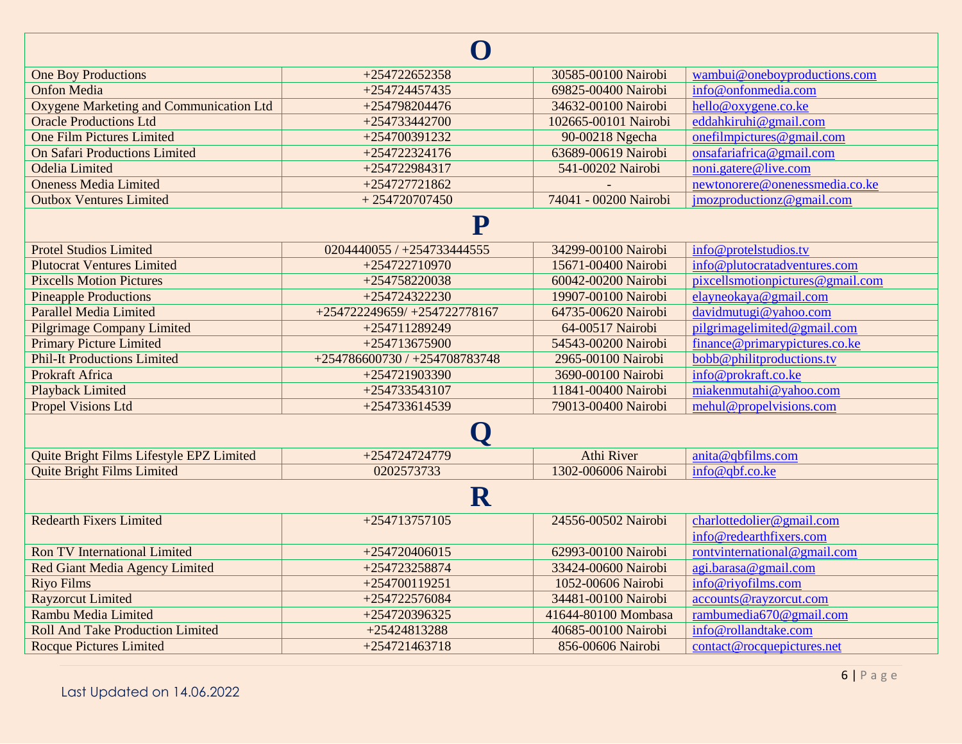| $\Box$                                   |                               |                       |                                  |  |
|------------------------------------------|-------------------------------|-----------------------|----------------------------------|--|
| <b>One Boy Productions</b>               | +254722652358                 | 30585-00100 Nairobi   | wambui@oneboyproductions.com     |  |
| <b>Onfon Media</b>                       | +254724457435                 | 69825-00400 Nairobi   | info@onfonmedia.com              |  |
| Oxygene Marketing and Communication Ltd  | $+254798204476$               | 34632-00100 Nairobi   | hello@oxygene.co.ke              |  |
| <b>Oracle Productions Ltd</b>            | +254733442700                 | 102665-00101 Nairobi  | eddahkiruhi@gmail.com            |  |
| <b>One Film Pictures Limited</b>         | +254700391232                 | 90-00218 Ngecha       | onefilmpictures@gmail.com        |  |
| <b>On Safari Productions Limited</b>     | +254722324176                 | 63689-00619 Nairobi   | onsafariafrica@gmail.com         |  |
| <b>Odelia</b> Limited                    | +254722984317                 | 541-00202 Nairobi     | noni.gatere@live.com             |  |
| <b>Oneness Media Limited</b>             | +254727721862                 |                       | newtonorere@onenessmedia.co.ke   |  |
| <b>Outbox Ventures Limited</b>           | $+254720707450$               | 74041 - 00200 Nairobi | jmozproductionz@gmail.com        |  |
| P                                        |                               |                       |                                  |  |
| <b>Protel Studios Limited</b>            | 0204440055 / +254733444555    | 34299-00100 Nairobi   | info@protelstudios.tv            |  |
| <b>Plutocrat Ventures Limited</b>        | +254722710970                 | 15671-00400 Nairobi   | info@plutocratadventures.com     |  |
| <b>Pixcells Motion Pictures</b>          | +254758220038                 | 60042-00200 Nairobi   | pixcellsmotionpictures@gmail.com |  |
| <b>Pineapple Productions</b>             | +254724322230                 | 19907-00100 Nairobi   | elayneokaya@gmail.com            |  |
| <b>Parallel Media Limited</b>            | +254722249659/ +254722778167  | 64735-00620 Nairobi   | davidmutugi@yahoo.com            |  |
| <b>Pilgrimage Company Limited</b>        | +254711289249                 | 64-00517 Nairobi      | pilgrimagelimited@gmail.com      |  |
| <b>Primary Picture Limited</b>           | +254713675900                 | 54543-00200 Nairobi   | finance@primarypictures.co.ke    |  |
| <b>Phil-It Productions Limited</b>       | +254786600730 / +254708783748 | 2965-00100 Nairobi    | bobb@philitproductions.tv        |  |
| Prokraft Africa                          | +254721903390                 | 3690-00100 Nairobi    | info@prokraft.co.ke              |  |
| <b>Playback Limited</b>                  | +254733543107                 | 11841-00400 Nairobi   | miakenmutahi@yahoo.com           |  |
| <b>Propel Visions Ltd</b>                | +254733614539                 | 79013-00400 Nairobi   | mehul@propelvisions.com          |  |
|                                          | Q                             |                       |                                  |  |
| Quite Bright Films Lifestyle EPZ Limited | +254724724779                 | Athi River            | anita@qbfilms.com                |  |
| <b>Quite Bright Films Limited</b>        | 0202573733                    | 1302-006006 Nairobi   | info@qbf.co.ke                   |  |
| ${\bf R}$                                |                               |                       |                                  |  |
| <b>Redearth Fixers Limited</b>           | +254713757105                 | 24556-00502 Nairobi   | charlottedolier@gmail.com        |  |
|                                          |                               |                       | info@redearthfixers.com          |  |
| <b>Ron TV International Limited</b>      | +254720406015                 | 62993-00100 Nairobi   | rontvinternational@gmail.com     |  |
| Red Giant Media Agency Limited           | +254723258874                 | 33424-00600 Nairobi   | agi.barasa@gmail.com             |  |
| <b>Riyo Films</b>                        | +254700119251                 | 1052-00606 Nairobi    | info@riyofilms.com               |  |
| <b>Rayzorcut Limited</b>                 | +254722576084                 | 34481-00100 Nairobi   | accounts@rayzorcut.com           |  |
| Rambu Media Limited                      | +254720396325                 | 41644-80100 Mombasa   | rambumedia670@gmail.com          |  |
| <b>Roll And Take Production Limited</b>  | +25424813288                  | 40685-00100 Nairobi   | info@rollandtake.com             |  |
| <b>Rocque Pictures Limited</b>           | +254721463718                 | 856-00606 Nairobi     | contact@rocquepictures.net       |  |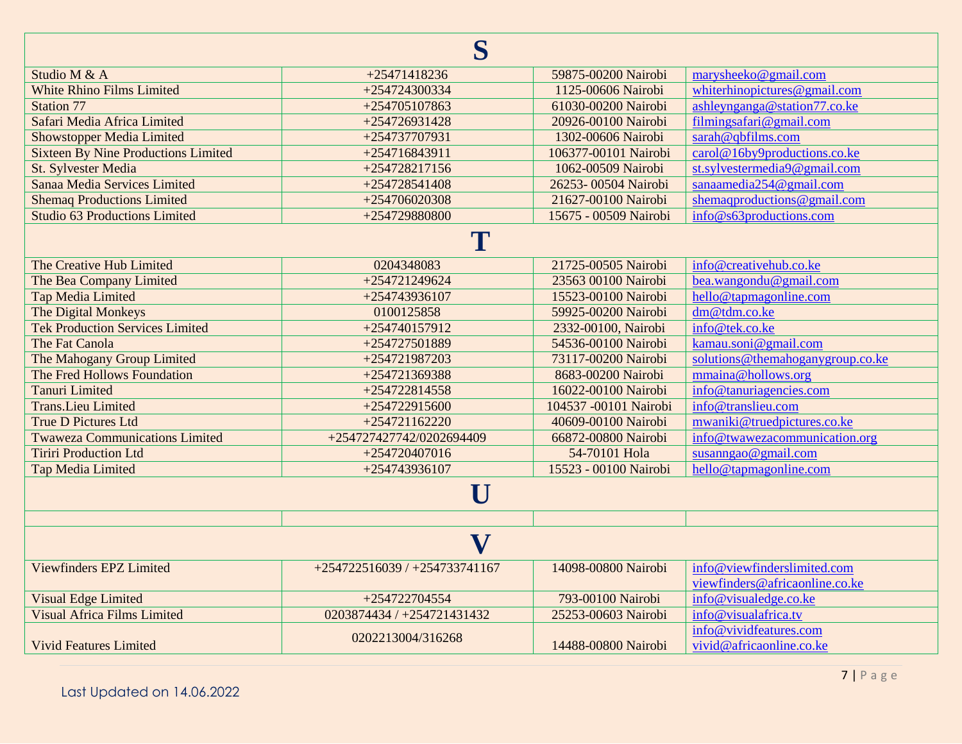| S                                          |                               |                       |                                                    |
|--------------------------------------------|-------------------------------|-----------------------|----------------------------------------------------|
| Studio M & A                               | +25471418236                  | 59875-00200 Nairobi   | marysheeko@gmail.com                               |
| <b>White Rhino Films Limited</b>           | +254724300334                 | 1125-00606 Nairobi    | whiterhinopictures@gmail.com                       |
| <b>Station 77</b>                          | +254705107863                 | 61030-00200 Nairobi   | ashleynganga@station77.co.ke                       |
| Safari Media Africa Limited                | +254726931428                 | 20926-00100 Nairobi   | filmingsafari@gmail.com                            |
| <b>Showstopper Media Limited</b>           | +254737707931                 | 1302-00606 Nairobi    | sarah@qbfilms.com                                  |
| <b>Sixteen By Nine Productions Limited</b> | +254716843911                 | 106377-00101 Nairobi  | carol@16by9productions.co.ke                       |
| St. Sylvester Media                        | $+254728217156$               | 1062-00509 Nairobi    | st.sylvestermedia9@gmail.com                       |
| Sanaa Media Services Limited               | +254728541408                 | 26253-00504 Nairobi   | sanaamedia254@gmail.com                            |
| <b>Shemaq Productions Limited</b>          | $+254706020308$               | 21627-00100 Nairobi   | shemaqproductions@gmail.com                        |
| <b>Studio 63 Productions Limited</b>       | +254729880800                 | 15675 - 00509 Nairobi | info@s63productions.com                            |
|                                            | T                             |                       |                                                    |
| The Creative Hub Limited                   | 0204348083                    | 21725-00505 Nairobi   | info@creativehub.co.ke                             |
| The Bea Company Limited                    | +254721249624                 | 23563 00100 Nairobi   | bea.wangondu@gmail.com                             |
| <b>Tap Media Limited</b>                   | +254743936107                 | 15523-00100 Nairobi   | hello@tapmagonline.com                             |
| The Digital Monkeys                        | 0100125858                    | 59925-00200 Nairobi   | dm@tdm.co.ke                                       |
| <b>Tek Production Services Limited</b>     | +254740157912                 | 2332-00100, Nairobi   | info@tek.co.ke                                     |
| The Fat Canola                             | +254727501889                 | 54536-00100 Nairobi   | kamau.soni@gmail.com                               |
| The Mahogany Group Limited                 | +254721987203                 | 73117-00200 Nairobi   | solutions@themahoganygroup.co.ke                   |
| The Fred Hollows Foundation                | +254721369388                 | 8683-00200 Nairobi    | mmaina@hollows.org                                 |
| <b>Tanuri Limited</b>                      | +254722814558                 | 16022-00100 Nairobi   | info@tanuriagencies.com                            |
| <b>Trans.Lieu Limited</b>                  | +254722915600                 | 104537 -00101 Nairobi | info@translieu.com                                 |
| <b>True D Pictures Ltd</b>                 | +254721162220                 | 40609-00100 Nairobi   | mwaniki@truedpictures.co.ke                        |
| <b>Twaweza Communications Limited</b>      | +254727427742/0202694409      | 66872-00800 Nairobi   | info@twawezacommunication.org                      |
| <b>Tiriri Production Ltd</b>               | +254720407016                 | 54-70101 Hola         | susanngao@gmail.com                                |
| <b>Tap Media Limited</b>                   | +254743936107                 | 15523 - 00100 Nairobi | hello@tapmagonline.com                             |
| $\mathbf U$                                |                               |                       |                                                    |
|                                            |                               |                       |                                                    |
| $\mathbf{V}$                               |                               |                       |                                                    |
| <b>Viewfinders EPZ Limited</b>             | +254722516039 / +254733741167 | 14098-00800 Nairobi   | info@viewfinderslimited.com                        |
|                                            |                               |                       | viewfinders@africaonline.co.ke                     |
| <b>Visual Edge Limited</b>                 | +254722704554                 | 793-00100 Nairobi     | info@visualedge.co.ke                              |
| <b>Visual Africa Films Limited</b>         | 0203874434 / +254721431432    | 25253-00603 Nairobi   | info@visualafrica.tv                               |
| <b>Vivid Features Limited</b>              | 0202213004/316268             | 14488-00800 Nairobi   | info@vividfeatures.com<br>vivid@africaonline.co.ke |